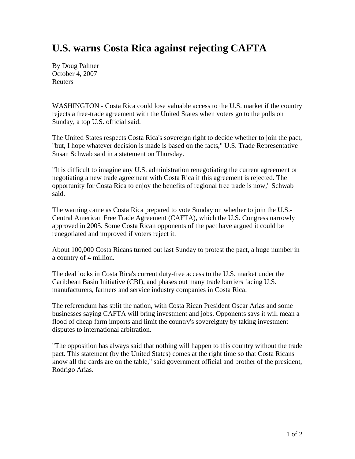## **U.S. warns Costa Rica against rejecting CAFTA**

By Doug Palmer October 4, 2007 Reuters

WASHINGTON - Costa Rica could lose valuable access to the U.S. market if the country rejects a free-trade agreement with the United States when voters go to the polls on Sunday, a top U.S. official said.

The United States respects Costa Rica's sovereign right to decide whether to join the pact, "but, I hope whatever decision is made is based on the facts," U.S. Trade Representative Susan Schwab said in a statement on Thursday.

"It is difficult to imagine any U.S. administration renegotiating the current agreement or negotiating a new trade agreement with Costa Rica if this agreement is rejected. The opportunity for Costa Rica to enjoy the benefits of regional free trade is now," Schwab said.

The warning came as Costa Rica prepared to vote Sunday on whether to join the U.S.- Central American Free Trade Agreement (CAFTA), which the U.S. Congress narrowly approved in 2005. Some Costa Rican opponents of the pact have argued it could be renegotiated and improved if voters reject it.

About 100,000 Costa Ricans turned out last Sunday to protest the pact, a huge number in a country of 4 million.

The deal locks in Costa Rica's current duty-free access to the U.S. market under the Caribbean Basin Initiative (CBI), and phases out many trade barriers facing U.S. manufacturers, farmers and service industry companies in Costa Rica.

The referendum has split the nation, with Costa Rican President Oscar Arias and some businesses saying CAFTA will bring investment and jobs. Opponents says it will mean a flood of cheap farm imports and limit the country's sovereignty by taking investment disputes to international arbitration.

"The opposition has always said that nothing will happen to this country without the trade pact. This statement (by the United States) comes at the right time so that Costa Ricans know all the cards are on the table," said government official and brother of the president, Rodrigo Arias.